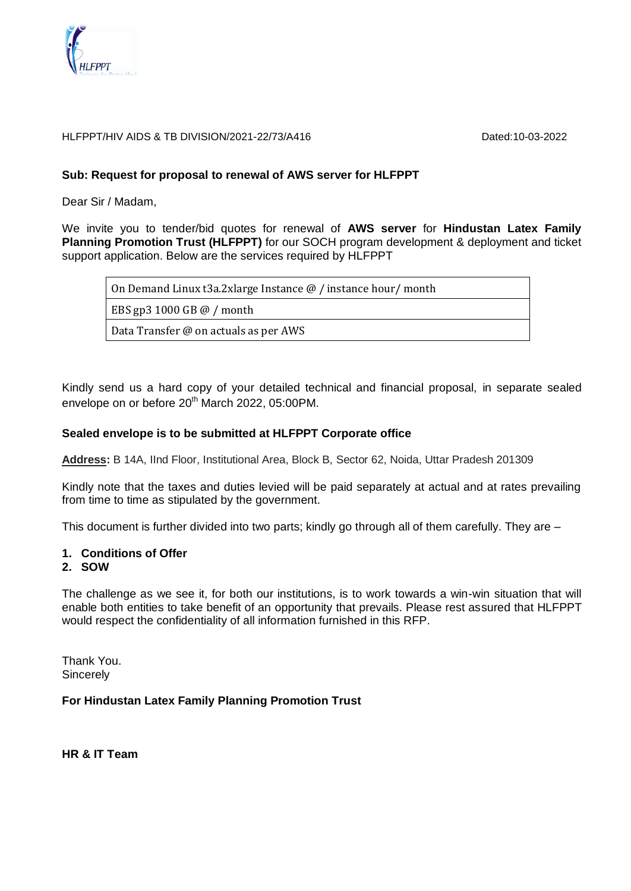

#### HLFPPT/HIV AIDS & TB DIVISION/2021-22/73/A416

### **Sub: Request for proposal to renewal of AWS server for HLFPPT**

Dear Sir / Madam,

We invite you to tender/bid quotes for renewal of **AWS server** for **Hindustan Latex Family Planning Promotion Trust (HLFPPT)** for our SOCH program development & deployment and ticket support application. Below are the services required by HLFPPT

On Demand Linux t3a.2xlarge Instance @ / instance hour/ month

EBS gp3 1000 GB @ / month

Data Transfer @ on actuals as per AWS

Kindly send us a hard copy of your detailed technical and financial proposal, in separate sealed envelope on or before 20<sup>th</sup> March 2022, 05:00PM.

### **Sealed envelope is to be submitted at HLFPPT Corporate office**

**Address:** B 14A, IInd Floor, Institutional Area, Block B, Sector 62, Noida, Uttar Pradesh 201309

Kindly note that the taxes and duties levied will be paid separately at actual and at rates prevailing from time to time as stipulated by the government.

This document is further divided into two parts; kindly go through all of them carefully. They are –

#### **1. Conditions of Offer**

#### **2. SOW**

The challenge as we see it, for both our institutions, is to work towards a win-win situation that will enable both entities to take benefit of an opportunity that prevails. Please rest assured that HLFPPT would respect the confidentiality of all information furnished in this RFP.

Thank You. **Sincerely** 

# **For Hindustan Latex Family Planning Promotion Trust**

**HR & IT Team**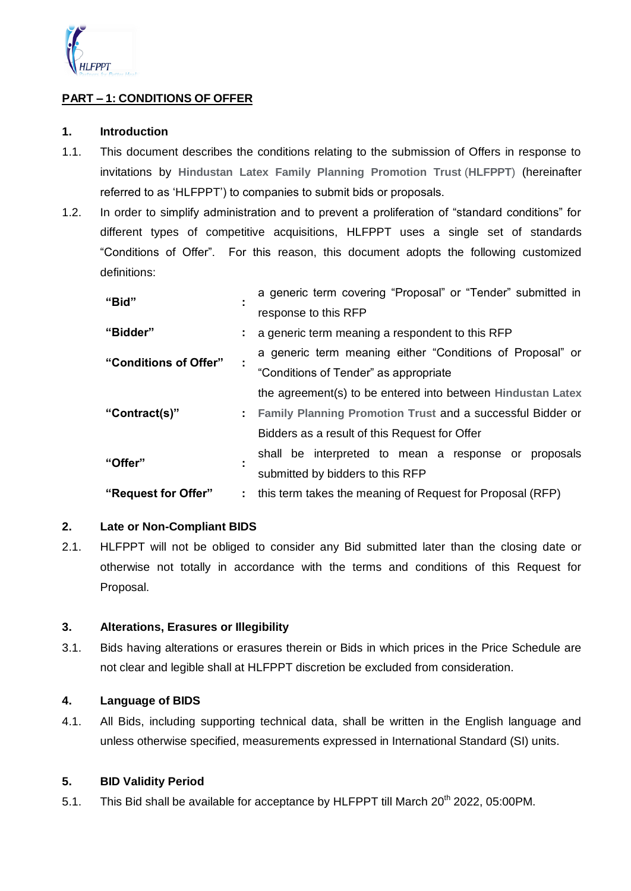

# **PART – 1: CONDITIONS OF OFFER**

### **1. Introduction**

- 1.1. This document describes the conditions relating to the submission of Offers in response to invitations by **Hindustan Latex Family Planning Promotion Trust** (**HLFPPT**) (hereinafter referred to as "HLFPPT") to companies to submit bids or proposals.
- 1.2. In order to simplify administration and to prevent a proliferation of "standard conditions" for different types of competitive acquisitions, HLFPPT uses a single set of standards "Conditions of Offer". For this reason, this document adopts the following customized definitions:

| "Bid"                 |  | a generic term covering "Proposal" or "Tender" submitted in  |  |  |  |
|-----------------------|--|--------------------------------------------------------------|--|--|--|
|                       |  | response to this RFP                                         |  |  |  |
| "Bidder"              |  | : a generic term meaning a respondent to this RFP            |  |  |  |
| "Conditions of Offer" |  | a generic term meaning either "Conditions of Proposal" or    |  |  |  |
|                       |  | "Conditions of Tender" as appropriate                        |  |  |  |
|                       |  | the agreement(s) to be entered into between Hindustan Latex  |  |  |  |
| "Contract(s)"         |  | : Family Planning Promotion Trust and a successful Bidder or |  |  |  |
|                       |  | Bidders as a result of this Request for Offer                |  |  |  |
| "Offer"               |  | shall be interpreted to mean a response or<br>proposals      |  |  |  |
|                       |  | submitted by bidders to this RFP                             |  |  |  |
| "Request for Offer"   |  | : this term takes the meaning of Request for Proposal (RFP)  |  |  |  |

# **2. Late or Non-Compliant BIDS**

2.1. HLFPPT will not be obliged to consider any Bid submitted later than the closing date or otherwise not totally in accordance with the terms and conditions of this Request for Proposal.

#### **3. Alterations, Erasures or Illegibility**

3.1. Bids having alterations or erasures therein or Bids in which prices in the Price Schedule are not clear and legible shall at HLFPPT discretion be excluded from consideration.

# **4. Language of BIDS**

4.1. All Bids, including supporting technical data, shall be written in the English language and unless otherwise specified, measurements expressed in International Standard (SI) units.

#### **5. BID Validity Period**

5.1. This Bid shall be available for acceptance by HLFPPT till March 20<sup>th</sup> 2022, 05:00PM.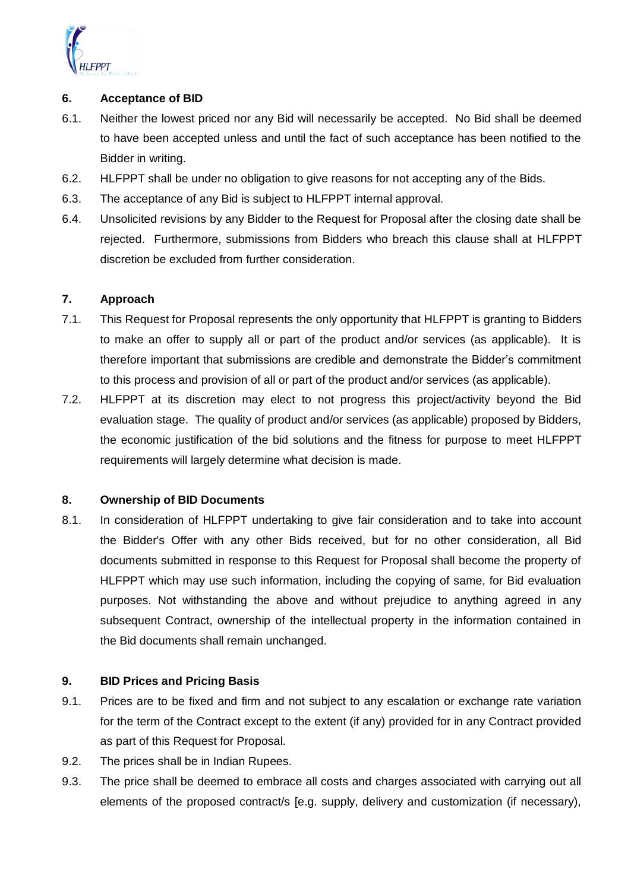

### **6. Acceptance of BID**

- 6.1. Neither the lowest priced nor any Bid will necessarily be accepted. No Bid shall be deemed to have been accepted unless and until the fact of such acceptance has been notified to the Bidder in writing.
- 6.2. HLFPPT shall be under no obligation to give reasons for not accepting any of the Bids.
- 6.3. The acceptance of any Bid is subject to HLFPPT internal approval.
- 6.4. Unsolicited revisions by any Bidder to the Request for Proposal after the closing date shall be rejected. Furthermore, submissions from Bidders who breach this clause shall at HLFPPT discretion be excluded from further consideration.

### **7. Approach**

- 7.1. This Request for Proposal represents the only opportunity that HLFPPT is granting to Bidders to make an offer to supply all or part of the product and/or services (as applicable). It is therefore important that submissions are credible and demonstrate the Bidder"s commitment to this process and provision of all or part of the product and/or services (as applicable).
- 7.2. HLFPPT at its discretion may elect to not progress this project/activity beyond the Bid evaluation stage. The quality of product and/or services (as applicable) proposed by Bidders, the economic justification of the bid solutions and the fitness for purpose to meet HLFPPT requirements will largely determine what decision is made.

#### **8. Ownership of BID Documents**

8.1. In consideration of HLFPPT undertaking to give fair consideration and to take into account the Bidder's Offer with any other Bids received, but for no other consideration, all Bid documents submitted in response to this Request for Proposal shall become the property of HLFPPT which may use such information, including the copying of same, for Bid evaluation purposes. Not withstanding the above and without prejudice to anything agreed in any subsequent Contract, ownership of the intellectual property in the information contained in the Bid documents shall remain unchanged.

# **9. BID Prices and Pricing Basis**

- 9.1. Prices are to be fixed and firm and not subject to any escalation or exchange rate variation for the term of the Contract except to the extent (if any) provided for in any Contract provided as part of this Request for Proposal.
- 9.2. The prices shall be in Indian Rupees.
- 9.3. The price shall be deemed to embrace all costs and charges associated with carrying out all elements of the proposed contract/s [e.g. supply, delivery and customization (if necessary),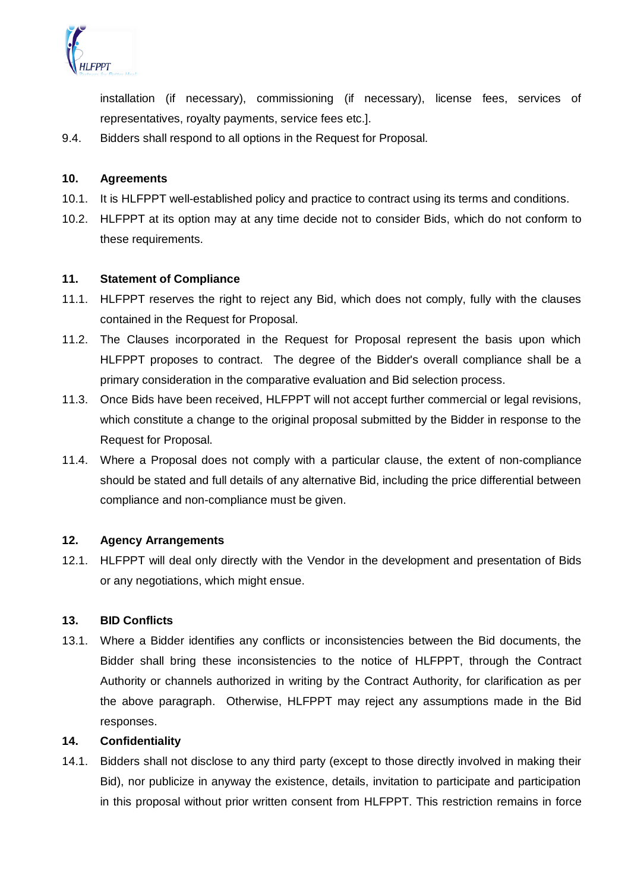

installation (if necessary), commissioning (if necessary), license fees, services of representatives, royalty payments, service fees etc.].

9.4. Bidders shall respond to all options in the Request for Proposal.

### **10. Agreements**

- 10.1. It is HLFPPT well-established policy and practice to contract using its terms and conditions.
- 10.2. HLFPPT at its option may at any time decide not to consider Bids, which do not conform to these requirements.

#### **11. Statement of Compliance**

- 11.1. HLFPPT reserves the right to reject any Bid, which does not comply, fully with the clauses contained in the Request for Proposal.
- 11.2. The Clauses incorporated in the Request for Proposal represent the basis upon which HLFPPT proposes to contract. The degree of the Bidder's overall compliance shall be a primary consideration in the comparative evaluation and Bid selection process.
- 11.3. Once Bids have been received, HLFPPT will not accept further commercial or legal revisions, which constitute a change to the original proposal submitted by the Bidder in response to the Request for Proposal.
- 11.4. Where a Proposal does not comply with a particular clause, the extent of non-compliance should be stated and full details of any alternative Bid, including the price differential between compliance and non-compliance must be given.

### **12. Agency Arrangements**

12.1. HLFPPT will deal only directly with the Vendor in the development and presentation of Bids or any negotiations, which might ensue.

#### **13. BID Conflicts**

13.1. Where a Bidder identifies any conflicts or inconsistencies between the Bid documents, the Bidder shall bring these inconsistencies to the notice of HLFPPT, through the Contract Authority or channels authorized in writing by the Contract Authority, for clarification as per the above paragraph. Otherwise, HLFPPT may reject any assumptions made in the Bid responses.

### **14. Confidentiality**

14.1. Bidders shall not disclose to any third party (except to those directly involved in making their Bid), nor publicize in anyway the existence, details, invitation to participate and participation in this proposal without prior written consent from HLFPPT. This restriction remains in force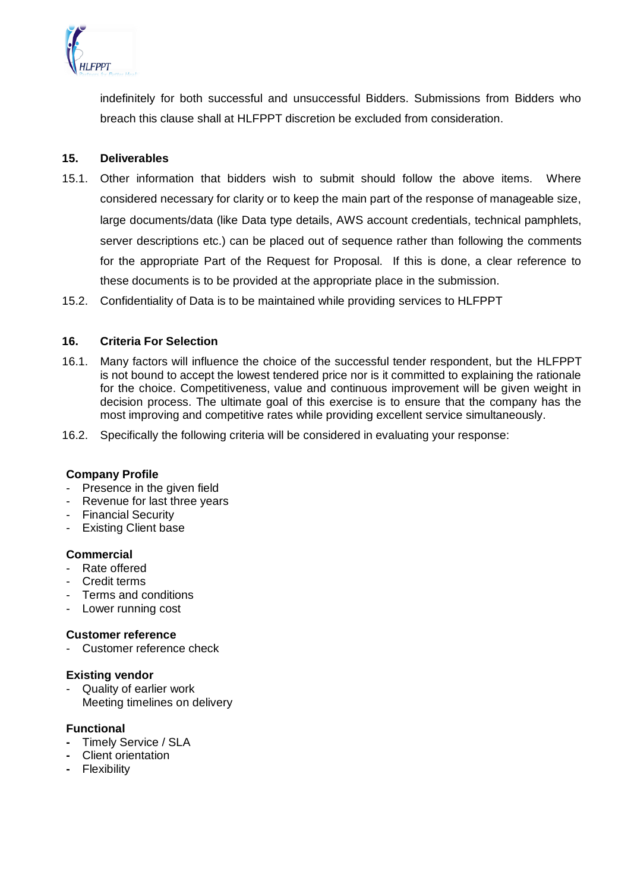

indefinitely for both successful and unsuccessful Bidders. Submissions from Bidders who breach this clause shall at HLFPPT discretion be excluded from consideration.

### **15. Deliverables**

15.1. Other information that bidders wish to submit should follow the above items. Where considered necessary for clarity or to keep the main part of the response of manageable size, large documents/data (like Data type details, AWS account credentials, technical pamphlets, server descriptions etc.) can be placed out of sequence rather than following the comments for the appropriate Part of the Request for Proposal. If this is done, a clear reference to these documents is to be provided at the appropriate place in the submission.

15.2. Confidentiality of Data is to be maintained while providing services to HLFPPT

### **16. Criteria For Selection**

- 16.1. Many factors will influence the choice of the successful tender respondent, but the HLFPPT is not bound to accept the lowest tendered price nor is it committed to explaining the rationale for the choice. Competitiveness, value and continuous improvement will be given weight in decision process. The ultimate goal of this exercise is to ensure that the company has the most improving and competitive rates while providing excellent service simultaneously.
- 16.2. Specifically the following criteria will be considered in evaluating your response:

#### **Company Profile**

- Presence in the given field
- Revenue for last three years
- Financial Security
- **Existing Client base**

#### **Commercial**

- Rate offered
- Credit terms
- Terms and conditions
- Lower running cost

#### **Customer reference**

Customer reference check

#### **Existing vendor**

Quality of earlier work Meeting timelines on delivery

#### **Functional**

- **-** Timely Service / SLA
- **-** Client orientation
- **-** Flexibility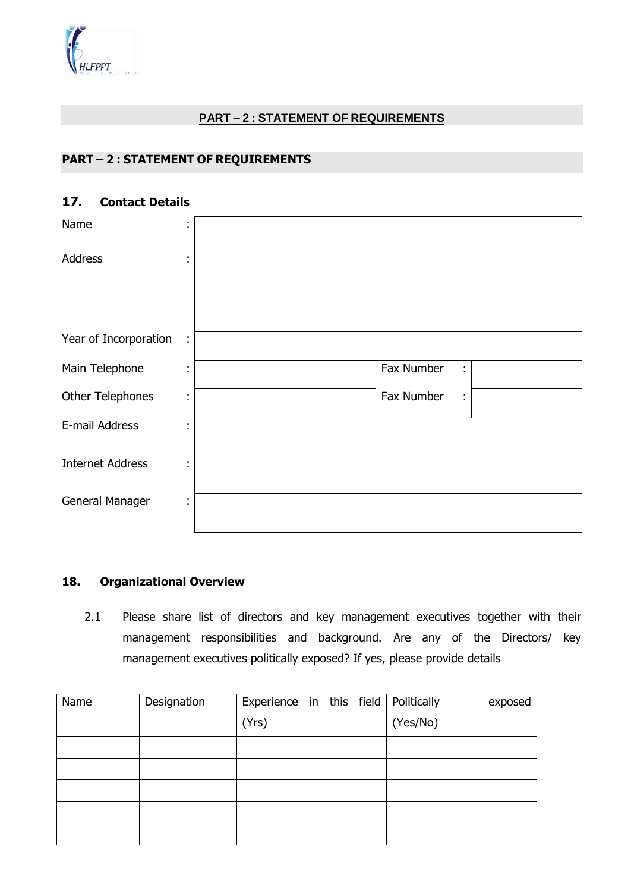# **PART – 2 : STATEMENT OF REQUIREMENTS**

# **PART – 2 : STATEMENT OF REQUIREMENTS**

| AALIMAA RAMIIN          |                     |                  |
|-------------------------|---------------------|------------------|
| Name                    | ٠<br>$\blacksquare$ |                  |
| Address                 | ٠<br>$\blacksquare$ |                  |
| Year of Incorporation   | t,                  |                  |
| Main Telephone          | ٠<br>$\blacksquare$ | Fax Number<br>÷. |
| Other Telephones        | ٠<br>$\blacksquare$ | Fax Number<br>÷  |
| E-mail Address          | ٠<br>$\blacksquare$ |                  |
| <b>Internet Address</b> | ٠<br>$\blacksquare$ |                  |
| General Manager         | ÷                   |                  |

# **17. Contact Details**

# **18. Organizational Overview**

2.1 Please share list of directors and key management executives together with their management responsibilities and background. Are any of the Directors/ key management executives politically exposed? If yes, please provide details

| Name | Designation | Experience in this field   Politically |  |          | exposed |
|------|-------------|----------------------------------------|--|----------|---------|
|      |             | (Yrs)                                  |  | (Yes/No) |         |
|      |             |                                        |  |          |         |
|      |             |                                        |  |          |         |
|      |             |                                        |  |          |         |
|      |             |                                        |  |          |         |
|      |             |                                        |  |          |         |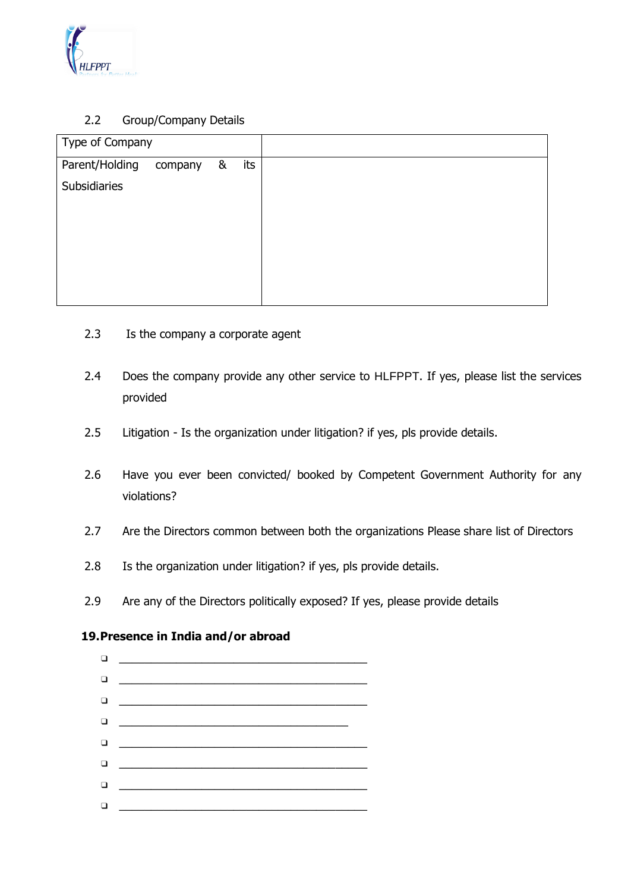

# 2.2 Group/Company Details

| Type of Company |         |   |     |
|-----------------|---------|---|-----|
| Parent/Holding  | company | & | its |
| Subsidiaries    |         |   |     |
|                 |         |   |     |
|                 |         |   |     |
|                 |         |   |     |
|                 |         |   |     |
|                 |         |   |     |
|                 |         |   |     |

- 2.3 Is the company a corporate agent
- 2.4 Does the company provide any other service to HLFPPT. If yes, please list the services provided
- 2.5 Litigation Is the organization under litigation? if yes, pls provide details.
- 2.6 Have you ever been convicted/ booked by Competent Government Authority for any violations?
- 2.7 Are the Directors common between both the organizations Please share list of Directors
- 2.8 Is the organization under litigation? if yes, pls provide details.
- 2.9 Are any of the Directors politically exposed? If yes, please provide details

# **19.Presence in India and/or abroad**

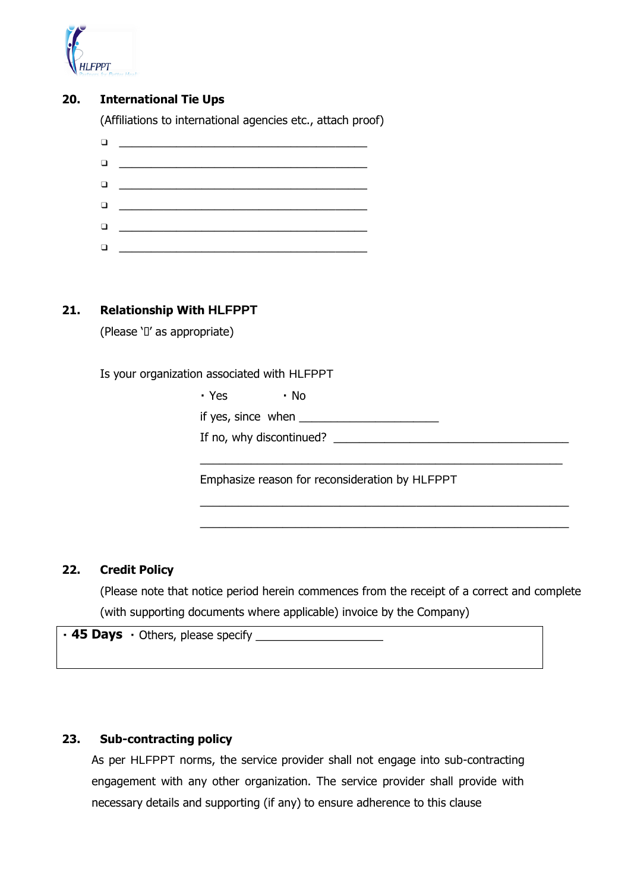

# **20. International Tie Ups**

(Affiliations to international agencies etc., attach proof)

| $\Box$ | <u> 1980 - Andrea Station Barbara (h. 1980).</u>                                                                     |
|--------|----------------------------------------------------------------------------------------------------------------------|
|        |                                                                                                                      |
| ▫      | <u> 1980 - Johann Stein, mars an deus Frankryk (</u>                                                                 |
| ▫      | <u> 1980 - Johann Stein, mars an deus Frankryk (</u>                                                                 |
| $\Box$ | <u> 1980 - Andrea Amerikaanse kommunister (</u>                                                                      |
|        | <u> 1980 - Johann Barn, mars ar breithinn ar breithinn ar breithinn ar breithinn ar breithinn ar breithinn ar br</u> |

# **21. Relationship With HLFPPT**

(Please 'I' as appropriate)

Is your organization associated with HLFPPT

• Yes  $\cdot$  No

if yes, since when  $\overline{\phantom{a}}$ 

If no, why discontinued? \_\_\_\_\_\_\_\_\_\_\_\_\_\_\_\_\_\_\_\_\_\_\_\_\_\_\_\_\_\_\_\_\_\_\_\_\_

Emphasize reason for reconsideration by HLFPPT

 $\_$  , and the set of the set of the set of the set of the set of the set of the set of the set of the set of the set of the set of the set of the set of the set of the set of the set of the set of the set of the set of th

\_\_\_\_\_\_\_\_\_\_\_\_\_\_\_\_\_\_\_\_\_\_\_\_\_\_\_\_\_\_\_\_\_\_\_\_\_\_\_\_\_\_\_\_\_\_\_\_\_\_\_\_\_\_\_\_\_\_ \_\_\_\_\_\_\_\_\_\_\_\_\_\_\_\_\_\_\_\_\_\_\_\_\_\_\_\_\_\_\_\_\_\_\_\_\_\_\_\_\_\_\_\_\_\_\_\_\_\_\_\_\_\_\_\_\_\_

### **22. Credit Policy**

(Please note that notice period herein commences from the receipt of a correct and complete (with supporting documents where applicable) invoice by the Company)

**45 Days**

#### **23. Sub-contracting policy**

As per HLFPPT norms, the service provider shall not engage into sub-contracting engagement with any other organization. The service provider shall provide with necessary details and supporting (if any) to ensure adherence to this clause